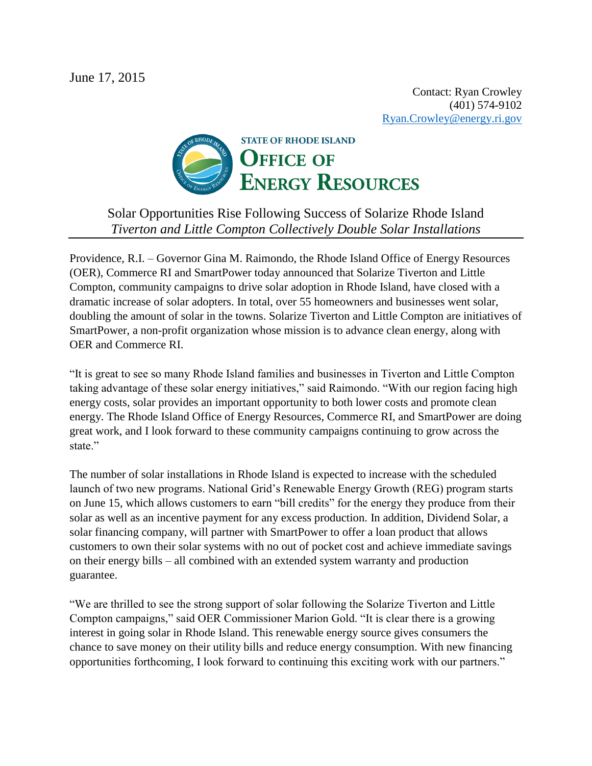

## Solar Opportunities Rise Following Success of Solarize Rhode Island *Tiverton and Little Compton Collectively Double Solar Installations*

Providence, R.I. – Governor Gina M. Raimondo, the Rhode Island Office of Energy Resources (OER), Commerce RI and SmartPower today announced that Solarize Tiverton and Little Compton, community campaigns to drive solar adoption in Rhode Island, have closed with a dramatic increase of solar adopters. In total, over 55 homeowners and businesses went solar, doubling the amount of solar in the towns. Solarize Tiverton and Little Compton are initiatives of SmartPower, a non-profit organization whose mission is to advance clean energy, along with OER and Commerce RI.

"It is great to see so many Rhode Island families and businesses in Tiverton and Little Compton taking advantage of these solar energy initiatives," said Raimondo. "With our region facing high energy costs, solar provides an important opportunity to both lower costs and promote clean energy. The Rhode Island Office of Energy Resources, Commerce RI, and SmartPower are doing great work, and I look forward to these community campaigns continuing to grow across the state."

The number of solar installations in Rhode Island is expected to increase with the scheduled launch of two new programs. National Grid's Renewable Energy Growth (REG) program starts on June 15, which allows customers to earn "bill credits" for the energy they produce from their solar as well as an incentive payment for any excess production. In addition, Dividend Solar, a solar financing company, will partner with SmartPower to offer a loan product that allows customers to own their solar systems with no out of pocket cost and achieve immediate savings on their energy bills – all combined with an extended system warranty and production guarantee.

"We are thrilled to see the strong support of solar following the Solarize Tiverton and Little Compton campaigns," said OER Commissioner Marion Gold. "It is clear there is a growing interest in going solar in Rhode Island. This renewable energy source gives consumers the chance to save money on their utility bills and reduce energy consumption. With new financing opportunities forthcoming, I look forward to continuing this exciting work with our partners."